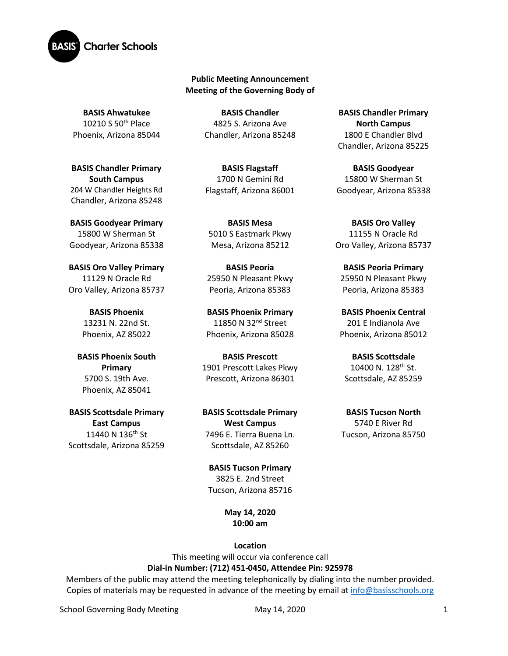

## **Public Meeting Announcement Meeting of the Governing Body of**

**BASIS Ahwatukee** 10210 S 50th Place Phoenix, Arizona 85044

**BASIS Chandler Primary South Campus**  204 W Chandler Heights Rd Chandler, Arizona 85248

**BASIS Goodyear Primary** 15800 W Sherman St Goodyear, Arizona 85338

**BASIS Oro Valley Primary**  11129 N Oracle Rd Oro Valley, Arizona 85737

> **BASIS Phoenix** 13231 N. 22nd St. Phoenix, AZ 85022

**BASIS Phoenix South Primary** 5700 S. 19th Ave. Phoenix, AZ 85041

**BASIS Scottsdale Primary East Campus** 11440 N 136<sup>th</sup> St Scottsdale, Arizona 85259

**BASIS Chandler** 4825 S. Arizona Ave Chandler, Arizona 85248

**BASIS Flagstaff** 1700 N Gemini Rd Flagstaff, Arizona 86001

**BASIS Mesa**  5010 S Eastmark Pkwy Mesa, Arizona 85212

**BASIS Peoria** 25950 N Pleasant Pkwy Peoria, Arizona 85383

**BASIS Phoenix Primary** 11850 N 32<sup>nd</sup> Street Phoenix, Arizona 85028

**BASIS Prescott** 1901 Prescott Lakes Pkwy Prescott, Arizona 86301

**BASIS Scottsdale Primary West Campus** 7496 E. Tierra Buena Ln. Scottsdale, AZ 85260

**BASIS Tucson Primary** 3825 E. 2nd Street Tucson, Arizona 85716

> **May 14, 2020 10:00 am**

> > **Location**

This meeting will occur via conference call **Dial-in Number: (712) 451-0450, Attendee Pin: 925978**

Members of the public may attend the meeting telephonically by dialing into the number provided. Copies of materials may be requested in advance of the meeting by email a[t info@basisschools.org](mailto:info@basisschools.org)

School Governing Body Meeting May 14, 2020 1

**BASIS Chandler Primary North Campus** 1800 E Chandler Blvd Chandler, Arizona 85225

**BASIS Goodyear** 15800 W Sherman St Goodyear, Arizona 85338

**BASIS Oro Valley** 11155 N Oracle Rd Oro Valley, Arizona 85737

**BASIS Peoria Primary**  25950 N Pleasant Pkwy Peoria, Arizona 85383

**BASIS Phoenix Central** 201 E Indianola Ave Phoenix, Arizona 85012

**BASIS Scottsdale** 10400 N. 128th St. Scottsdale, AZ 85259

**BASIS Tucson North** 5740 E River Rd Tucson, Arizona 85750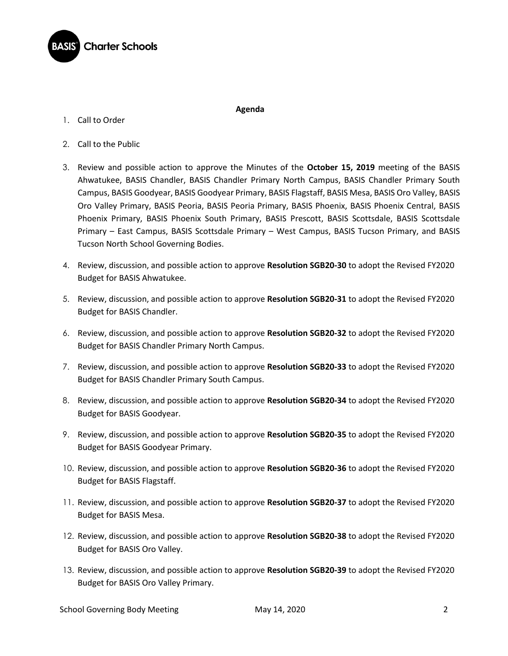

1. Call to Order

## **Agenda**

- 2. Call to the Public
- 3. Review and possible action to approve the Minutes of the **October 15, 2019** meeting of the BASIS Ahwatukee, BASIS Chandler, BASIS Chandler Primary North Campus, BASIS Chandler Primary South Campus, BASIS Goodyear, BASIS Goodyear Primary, BASIS Flagstaff, BASIS Mesa, BASIS Oro Valley, BASIS Oro Valley Primary, BASIS Peoria, BASIS Peoria Primary, BASIS Phoenix, BASIS Phoenix Central, BASIS Phoenix Primary, BASIS Phoenix South Primary, BASIS Prescott, BASIS Scottsdale, BASIS Scottsdale Primary – East Campus, BASIS Scottsdale Primary – West Campus, BASIS Tucson Primary, and BASIS Tucson North School Governing Bodies.
- 4. Review, discussion, and possible action to approve **Resolution SGB20-30** to adopt the Revised FY2020 Budget for BASIS Ahwatukee.
- 5. Review, discussion, and possible action to approve **Resolution SGB20-31** to adopt the Revised FY2020 Budget for BASIS Chandler.
- 6. Review, discussion, and possible action to approve **Resolution SGB20-32** to adopt the Revised FY2020 Budget for BASIS Chandler Primary North Campus.
- 7. Review, discussion, and possible action to approve **Resolution SGB20-33** to adopt the Revised FY2020 Budget for BASIS Chandler Primary South Campus.
- 8. Review, discussion, and possible action to approve **Resolution SGB20-34** to adopt the Revised FY2020 Budget for BASIS Goodyear.
- 9. Review, discussion, and possible action to approve **Resolution SGB20-35** to adopt the Revised FY2020 Budget for BASIS Goodyear Primary.
- 10. Review, discussion, and possible action to approve **Resolution SGB20-36** to adopt the Revised FY2020 Budget for BASIS Flagstaff.
- 11. Review, discussion, and possible action to approve **Resolution SGB20-37** to adopt the Revised FY2020 Budget for BASIS Mesa.
- 12. Review, discussion, and possible action to approve **Resolution SGB20-38** to adopt the Revised FY2020 Budget for BASIS Oro Valley.
- 13. Review, discussion, and possible action to approve **Resolution SGB20-39** to adopt the Revised FY2020 Budget for BASIS Oro Valley Primary.